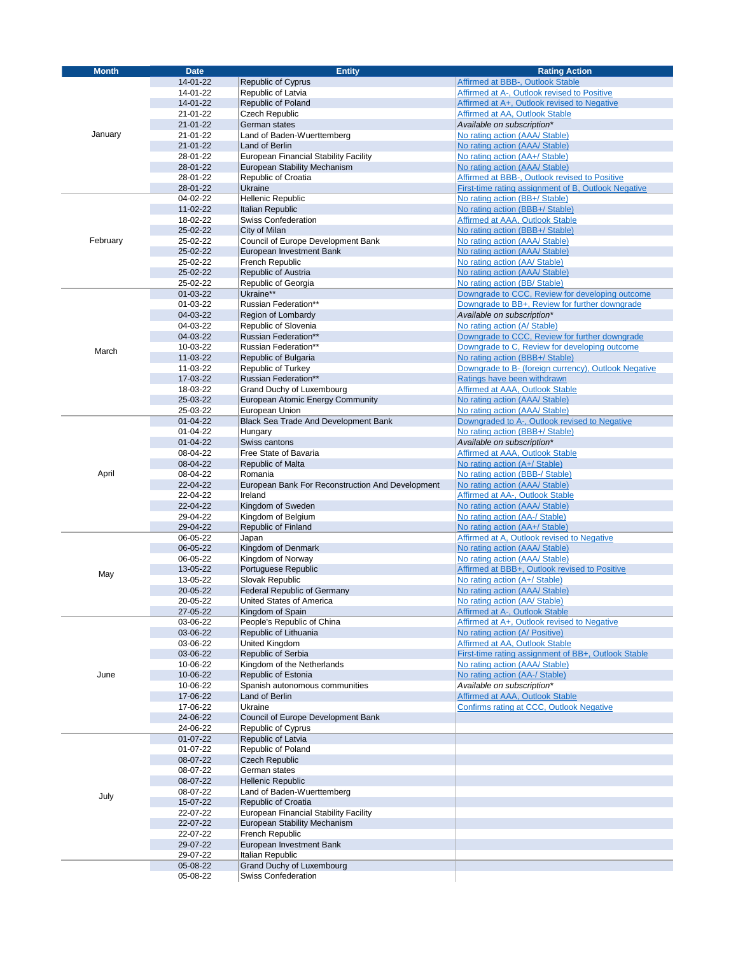| <b>Month</b> | <b>Date</b> | <b>Entity</b>                                    | <b>Rating Action</b>                                 |
|--------------|-------------|--------------------------------------------------|------------------------------------------------------|
|              | 14-01-22    | <b>Republic of Cyprus</b>                        | Affirmed at BBB-, Outlook Stable                     |
|              | 14-01-22    |                                                  | Affirmed at A-, Outlook revised to Positive          |
|              |             | Republic of Latvia                               |                                                      |
|              | 14-01-22    | Republic of Poland                               | Affirmed at A+, Outlook revised to Negative          |
|              | 21-01-22    | Czech Republic                                   | Affirmed at AA, Outlook Stable                       |
| January      | 21-01-22    | German states                                    | Available on subscription*                           |
|              | 21-01-22    | Land of Baden-Wuerttemberg                       | No rating action (AAA/ Stable)                       |
|              | 21-01-22    | Land of Berlin                                   | No rating action (AAA/ Stable)                       |
|              | 28-01-22    | European Financial Stability Facility            | No rating action (AA+/ Stable)                       |
|              | 28-01-22    | <b>European Stability Mechanism</b>              | No rating action (AAA/ Stable)                       |
|              | 28-01-22    | Republic of Croatia                              | Affirmed at BBB-, Outlook revised to Positive        |
|              | 28-01-22    | Ukraine                                          | First-time rating assignment of B, Outlook Negative  |
|              | 04-02-22    | <b>Hellenic Republic</b>                         | No rating action (BB+/ Stable)                       |
|              | 11-02-22    | Italian Republic                                 | No rating action (BBB+/ Stable)                      |
|              | 18-02-22    | <b>Swiss Confederation</b>                       |                                                      |
|              |             |                                                  | <b>Affirmed at AAA, Outlook Stable</b>               |
| February     | 25-02-22    | City of Milan                                    | No rating action (BBB+/ Stable)                      |
|              | 25-02-22    | Council of Europe Development Bank               | No rating action (AAA/ Stable)                       |
|              | 25-02-22    | European Investment Bank                         | No rating action (AAA/ Stable)                       |
|              | 25-02-22    | French Republic                                  | No rating action (AA/ Stable)                        |
|              | 25-02-22    | Republic of Austria                              | No rating action (AAA/ Stable)                       |
|              | 25-02-22    | Republic of Georgia                              | No rating action (BB/ Stable)                        |
|              | 01-03-22    | Ukraine**                                        | Downgrade to CCC, Review for developing outcome      |
|              | 01-03-22    | Russian Federation**                             | Downgrade to BB+, Review for further downgrade       |
|              | 04-03-22    | Region of Lombardy                               | Available on subscription*                           |
|              | 04-03-22    | Republic of Slovenia                             | No rating action (A/ Stable)                         |
|              | 04-03-22    | <b>Russian Federation**</b>                      | Downgrade to CCC, Review for further downgrade       |
|              | 10-03-22    | Russian Federation**                             | Downgrade to C, Review for developing outcome        |
| March        | 11-03-22    | Republic of Bulgaria                             | No rating action (BBB+/ Stable)                      |
|              | 11-03-22    | Republic of Turkey                               | Downgrade to B- (foreign currency), Outlook Negative |
|              | 17-03-22    | Russian Federation**                             | Ratings have been withdrawn                          |
|              |             |                                                  |                                                      |
|              | 18-03-22    | Grand Duchy of Luxembourg                        | Affirmed at AAA, Outlook Stable                      |
|              | 25-03-22    | European Atomic Energy Community                 | No rating action (AAA/ Stable)                       |
|              | 25-03-22    | European Union                                   | No rating action (AAA/ Stable)                       |
|              | 01-04-22    | Black Sea Trade And Development Bank             | Downgraded to A-, Outlook revised to Negative        |
|              | 01-04-22    | Hungary                                          | No rating action (BBB+/ Stable)                      |
|              | 01-04-22    | Swiss cantons                                    | Available on subscription*                           |
|              | 08-04-22    | Free State of Bavaria                            | <b>Affirmed at AAA, Outlook Stable</b>               |
|              | 08-04-22    | Republic of Malta                                | No rating action (A+/ Stable)                        |
| April        | 08-04-22    | Romania                                          | No rating action (BBB-/ Stable)                      |
|              | 22-04-22    | European Bank For Reconstruction And Development | No rating action (AAA/ Stable)                       |
|              | 22-04-22    | Ireland                                          | Affirmed at AA-, Outlook Stable                      |
|              | 22-04-22    | Kingdom of Sweden                                | No rating action (AAA/ Stable)                       |
|              | 29-04-22    | Kingdom of Belgium                               | No rating action (AA-/ Stable)                       |
|              | 29-04-22    | Republic of Finland                              | No rating action (AA+/ Stable)                       |
|              | 06-05-22    | Japan                                            | Affirmed at A, Outlook revised to Negative           |
|              | 06-05-22    | Kingdom of Denmark                               | No rating action (AAA/ Stable)                       |
|              |             |                                                  |                                                      |
|              | 06-05-22    | Kingdom of Norway                                | No rating action (AAA/ Stable)                       |
| May          | 13-05-22    | Portuguese Republic                              | Affirmed at BBB+, Outlook revised to Positive        |
|              | 13-05-22    | Slovak Republic                                  | No rating action (A+/ Stable)                        |
|              | 20-05-22    | Federal Republic of Germany                      | No rating action (AAA/ Stable)                       |
|              | 20-05-22    | United States of America                         | No rating action (AA/ Stable)                        |
|              | 27-05-22    | Kingdom of Spain                                 | Affirmed at A-, Outlook Stable                       |
|              | 03-06-22    | People's Republic of China                       | Affirmed at A+, Outlook revised to Negative          |
|              | 03-06-22    | Republic of Lithuania                            | No rating action (A/ Positive)                       |
|              | 03-06-22    | <b>United Kingdom</b>                            | Affirmed at AA, Outlook Stable                       |
|              | 03-06-22    | Republic of Serbia                               | First-time rating assignment of BB+, Outlook Stable  |
| June         | 10-06-22    | Kingdom of the Netherlands                       | No rating action (AAA/ Stable)                       |
|              | 10-06-22    | Republic of Estonia                              | No rating action (AA-/ Stable)                       |
|              | 10-06-22    | Spanish autonomous communities                   | Available on subscription*                           |
|              | 17-06-22    | Land of Berlin                                   | Affirmed at AAA, Outlook Stable                      |
|              | 17-06-22    | Ukraine                                          | Confirms rating at CCC, Outlook Negative             |
|              | 24-06-22    | Council of Europe Development Bank               |                                                      |
|              | 24-06-22    | Republic of Cyprus                               |                                                      |
|              | 01-07-22    | Republic of Latvia                               |                                                      |
|              |             | Republic of Poland                               |                                                      |
|              | 01-07-22    |                                                  |                                                      |
|              | 08-07-22    | <b>Czech Republic</b>                            |                                                      |
|              | 08-07-22    | German states                                    |                                                      |
|              | 08-07-22    | <b>Hellenic Republic</b>                         |                                                      |
| July         | 08-07-22    | Land of Baden-Wuerttemberg                       |                                                      |
|              | 15-07-22    | Republic of Croatia                              |                                                      |
|              | 22-07-22    | European Financial Stability Facility            |                                                      |
|              | 22-07-22    | European Stability Mechanism                     |                                                      |
|              | 22-07-22    | French Republic                                  |                                                      |
|              | 29-07-22    | European Investment Bank                         |                                                      |
|              | 29-07-22    | Italian Republic                                 |                                                      |
|              | 05-08-22    | Grand Duchy of Luxembourg                        |                                                      |
|              | 05-08-22    | Swiss Confederation                              |                                                      |